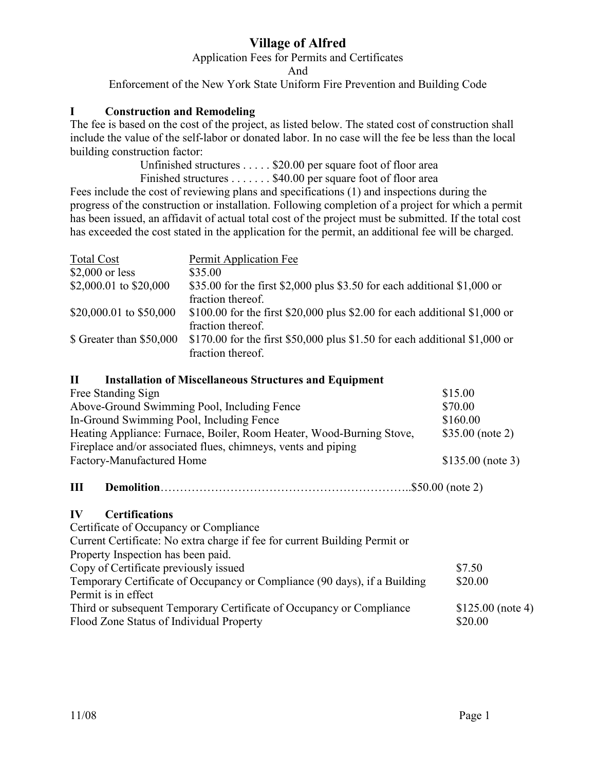# **Village of Alfred**

Application Fees for Permits and Certificates

And

Enforcement of the New York State Uniform Fire Prevention and Building Code

## **I Construction and Remodeling**

The fee is based on the cost of the project, as listed below. The stated cost of construction shall include the value of the self-labor or donated labor. In no case will the fee be less than the local building construction factor:

> Unfinished structures . . . . . \$20.00 per square foot of floor area Finished structures . . . . . . . \$40.00 per square foot of floor area

Fees include the cost of reviewing plans and specifications (1) and inspections during the progress of the construction or installation. Following completion of a project for which a permit has been issued, an affidavit of actual total cost of the project must be submitted. If the total cost has exceeded the cost stated in the application for the permit, an additional fee will be charged.

| <b>Total Cost</b>        | Permit Application Fee                                                                                               |
|--------------------------|----------------------------------------------------------------------------------------------------------------------|
| $$2,000$ or less         | \$35.00                                                                                                              |
| \$2,000.01 to \$20,000   | \$35.00 for the first \$2,000 plus \$3.50 for each additional \$1,000 or<br>fraction thereof.                        |
| \$20,000.01 to \$50,000  | \$100.00 for the first \$20,000 plus \$2.00 for each additional \$1,000 or                                           |
| \$ Greater than \$50,000 | fraction thereof.<br>\$170.00 for the first \$50,000 plus \$1.50 for each additional \$1,000 or<br>fraction thereof. |

## **II Installation of Miscellaneous Structures and Equipment**

| Free Standing Sign                                                         | \$15.00            |  |
|----------------------------------------------------------------------------|--------------------|--|
| Above-Ground Swimming Pool, Including Fence                                | \$70.00            |  |
| In-Ground Swimming Pool, Including Fence                                   | \$160.00           |  |
| Heating Appliance: Furnace, Boiler, Room Heater, Wood-Burning Stove,       | $$35.00$ (note 2)  |  |
| Fireplace and/or associated flues, chimneys, vents and piping              |                    |  |
| Factory-Manufactured Home                                                  | $$135.00$ (note 3) |  |
| III                                                                        | $.550.00$ (note 2) |  |
| IV<br><b>Certifications</b>                                                |                    |  |
| Certificate of Occupancy or Compliance                                     |                    |  |
| Current Certificate: No extra charge if fee for current Building Permit or |                    |  |
| Property Inspection has been paid.                                         |                    |  |
| Copy of Certificate previously issued                                      | \$7.50             |  |
| Temporary Certificate of Occupancy or Compliance (90 days), if a Building  | \$20.00            |  |

Permit is in effect Third or subsequent Temporary Certificate of Occupancy or Compliance \$125.00 (note 4) Flood Zone Status of Individual Property  $$20.00$